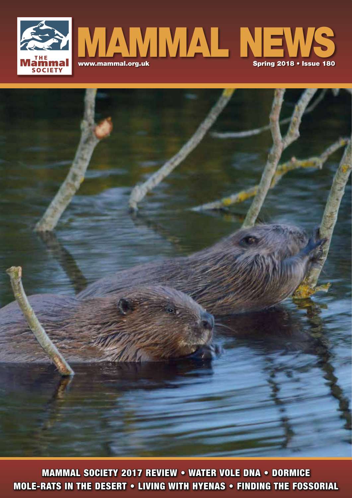



MOLE-RATS IN THE DESERT • LIVING WITH HYENAS • FINDING THE FOSSORIAL MAMMAL SOCIETY 2017 REVIEW • WATER VOLE DNA • DORMICE